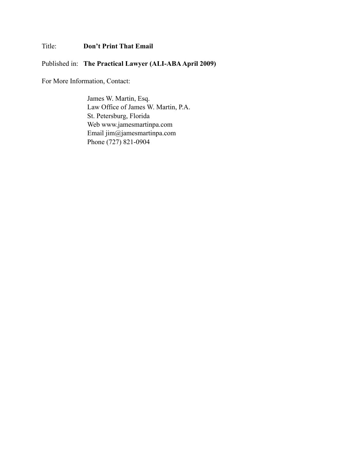### Title: **Don't Print That Email**

Published in: **The Practical Lawyer (ALI-ABA April 2009)**

For More Information, Contact:

James W. Martin, Esq. Law Office of James W. Martin, P.A. St. Petersburg, Florida Web www.jamesmartinpa.com Email jim@jamesmartinpa.com Phone (727) 821-0904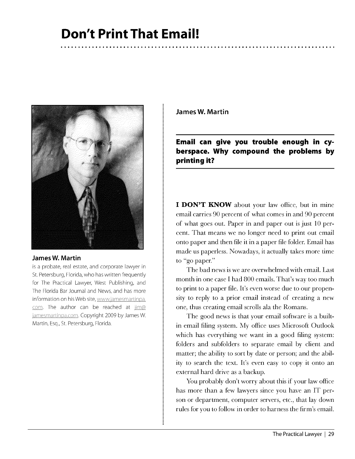# **Don't Print That Email!**



### **James W. Martin**

is a probate, real estate, and corporate lawyer in St. Petersburg, Florida, who has written frequently for The Practical Lawyer, West Publishing, and The Florida Bar Journal and News, and has more information on his Web site, www.jamesmartinpa. com. The author can be reached at  $\lim_{\omega}$ jamesmartinpa.com. Copyright 2009 by James W. Martin, Esq., St. Petersburg, Florida.

**James W. Martin** 

**Email can give you trouble enough in cyberspace. Why compound the problems by printing it?** 

**I DON'T KNOW** about your law office, but in mine email carries 90 percent of what comes in and 90 percent of what goes out. Paper in and paper out is just 10 percent. That means we no longer need to print out email onto paper and then file it in a paper file folder. Email has made us paperless. Nowadays, it actually takes more time to "go paper."

The bad news is we are overwhelmed with email. Last month in one case I had 800 emails. That's way too much to print to a paper file. It's even worse due to our propensity to reply to a prior email instead of creating a new one, thus creating email scrolls ala the Romans.

The good news is that your email software is a builtin email filing system. My office uses Microsoft Outlook which has everything we want in a good filing system: folders and subfolders to separate email by client and matter; the ability to sort by date or person; and the ability to search the text. It's even easy to copy it onto an external hard drive as a backup.

You probably don't worry about this if your law office has more than a few lawyers since you have an IT person or department, computer servers, etc., that lay down rules for you to follow in order to harness the firm's email.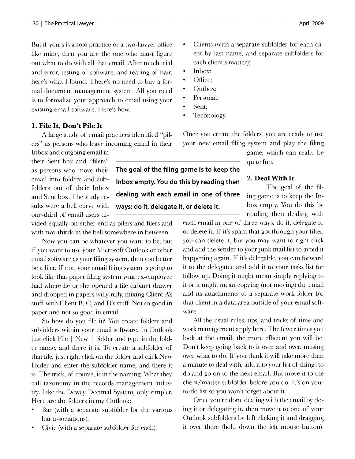But if yours is a solo practice or a two-lawyer office like mine, then you are the one who must figure out what to do with all that email. After much trial and error, testing of software, and tearing of hair, here's what I found: There's no need to buy a formal document management system. All you need is to formalize your approach to email using your existing email software. Here's how.

### **1. File It, Don't Pile It**

A large study of email practices identified "pilers" as persons who leave incoming email in their

Inbox and outgoing email in their Sent box and "filers" as persons who move their email into folders and subfolders out of their Inbox and Sent box. The study results were a bell curve with one-third of email users di-

vided equally on either end as pilers and filers and with two-thirds in the bell somewhere in between.

Now you can be whatever you want to be, but if you want to use your Microsoft Outlook or other email software as your filing system, then you better be a filer. If not, your email filing system is going to look like that paper filing system your ex-employee had where he or she opened a file cabinet drawer and dropped in papers willy nilly, mixing Client A's stuff with Client B, C, and D's stuff. Not so good in paper and not so good in email.

So how do you file it? You create folders and subfolders within your email software. In Outlook just click File I New I Folder and type in the folder name, and there it is. To create a subfolder of that file, just right click on the folder and click New Folder and enter the subfolder name, and there it is. The trick, of course, is in the naming. What they call taxonomy in the records management industry. Like the Dewey Decimal System, only simpler. Here are the folders in my Outlook:

- Bar (with a separate subfolder for the various bar associations);
- Civic (with a separate subfolder for each);
- Clients (with a separate subfolder for each client by last name, and separate subfolders for each client's matter);
- Inbox;
- Office;
- Outbox;
- Personal:
- Sent:
- Technology.

Once you create the folders, you are ready to use your new email filing system and play the filing

game, which can really be quite fun.

The goal of the filbox empty. You do this by reading then dealing with

each email in one of three ways: do it, delegate it, or delete it. If it's spam that got through your filter, you can delete it, but you may want to right click and add the sender to your junk mail list to avoid it happening again. If it's delegable, you can forward it to the delegatee and add it to your tasks list for follow up. Doing it might mean simply replying to it or it might mean copying (not moving) the email and its attachments to a separate work folder for that client in a data area outside of your email software.

All the usual rules, tips, and tricks of time and work management apply here. The fewer times you look at the email, the more efficient you will be. Don't keep going back to it over and over, musing over what to do. If you think it will take more than a minute to deal with, add it to your list of things to do and go on to the next email. But move it to the client/matter subfolder before you do. It's on your to-do list so you won't forget about it.

Once you're done dealing with the email by doing it or delegating it, then move it to one of your Outlook subfolders by left clicking it and dragging it over there (hold down the left mouse button).

**The goal of the filing game is to keep the lnbox empty. You do this by reading then 2. Deal With It dealing with each email in one of three** ing game is to keep the In**ways: do it, delegate it, or delete it.**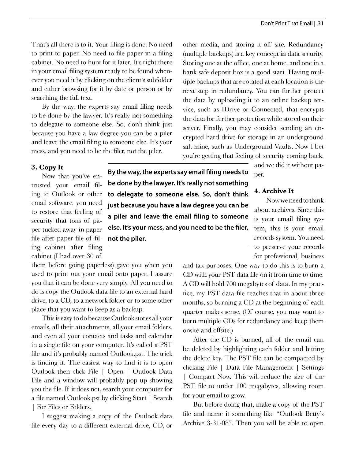That's all there is to it. Your filing is done. No need to print to paper. No need to file paper in a filing cabinet. No need to hunt for it later. It's right there in your email filing system ready to be found whenever you need it by clicking on the client's subfolder and either browsing for it by date or person or by searching the full text.

By the way, the experts say email filing needs to be done by the lawyer. It's really not something to delegate to someone else. So, don't think just because you have a law degree you can be a piler and leave the email filing to someone else. It's your mess, and you need to be the filer, not the piler.

other media, and storing it off site. Redundancy (multiple backups) is a key concept in data security. Storing one at the office, one at home, and one in a bank safe deposit box is a good start. Having multiple backups that are rotated at each location is the next step in redundancy. You can further protect the data by uploading it to an online backup service, such as !Drive or Connected, that encrypts the data for further protection while stored on their server. Finally, you may consider sending an encrypted hard drive for storage in an underground salt mine, such as Underground Vaults. Now I bet you're getting that feeling of security coming back,

to restore that feeling of security that tons of paper tucked away in paper file after paper file of filing cabinet after filing cabinet (I had over 30 of

 $\mathbf{B}$ y the way, the experts say email filing needs to  $\epsilon_{\text{per}}$ . trusted your email fil- **be done by the lawyer. It's really not something 4. Archive It** ing to Outlook or other **to delegate to someone else. So, don't think <sup>4.</sup> Archive It** Now we need to think email software, you need<br>to restore that feeling of **Just because you have a law degree you can be** about archives. Since this **a piler and leave the email filing to someone** is your email filing sys**else. It's your mess, and you need to be the filer,** tem, this is your email **not the piler. records system. You need** 

and we did it without pa- **3. Copy It** 

to preserve your records for professional, business

them before going paperless) gave you when you used to print out your email onto paper. I assure you that it can be done very simply. All you need to do is copy the Outlook data file to an external hard drive, to a CD, to a network folder or to some other place that you want to keep as a backup.

This is easy to do because Outlook stores all your emails, all their attachments, all your email folders, and even all your contacts and tasks and calendar in a single file on your computer. It's called a PST file and it's probably named Outlook.pst. The trick is finding it. The easiest way to find it is to open Outlook then click File I Open I Outlook Data File and a window will probably pop up showing you the file. If it does not, search your computer for a file named Outlook.pst by clicking Start | Search | For Files or Folders.

I suggest making a copy of the Outlook data file every day to a different external drive, CD, or and tax purposes. One way to do this is to burn a CD with your PST data file on it from time to time. A CD will hold 700 megabytes of data. In my practice, my PST data file reaches that in about three months, so burning a CD at the beginning of each quarter makes sense. (Of course, you may want to burn multiple CDs for redundancy and keep them onsite and offsite.)

After the CD is burned, all of the email can be deleted by highlighting each folder and hitting the delete key. The PST file can be compacted by clicking File I Data File Management I Settings I Compact Now. This will reduce the size of the PST file to under 100 megabytes, allowing room for your email to grow.

But before doing that, make a copy of the PST file and name it something like "Outlook Betty's Archive 3-31-08". Then you will be able to open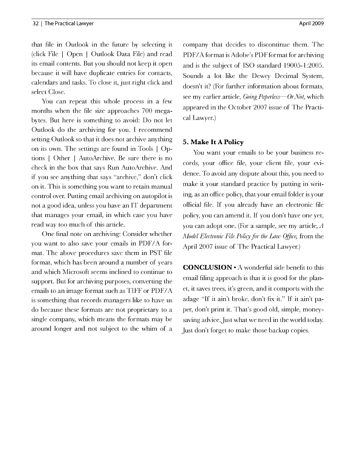that file in Outlook in the future by selecting it (click File I Open I Outlook Data File) and read its email contents. But you should not keep it open because it will have duplicate entries for contacts, calendars and tasks. To close it, just right click and select Close.

You can repeat this whole process in a few months when the file size approaches 700 megabytes. But here is something to avoid: Do not let Outlook do the archiving for you. I recommend setting Outlook so that it does not archive anything on its own. The settings are found in Tools I Options I Other I AutoArchive. Be sure there is no check in the box that says Run AutoArchive. And if you see anything that says "archive," don't click on it. This is something you want to retain manual control over. Putting email archiving on autopilot is not a good idea, unless you have an IT department that manages your email, in which case you have read way too much of this article.

One final note on archiving: Consider whether you want to also save your emails in PDF/A format. The above procedures save them in PST file format, which has been around a number of years and which Microsoft seems inclined to continue to support. But for archiving purposes, converting the emails to an image format such as TIFF or PDF/A is something that records managers like to have us do because these formats are not proprietary to a single company, which means the formats may be around longer and not subject to the whim of a company that decides to discontinue them. The PDF/A format is Adobe's PDF format for archiving and is the subject of ISO standard 19005-1:2005. Sounds a lot like the Dewey Decimal System, doesn't it? (For further information about formats, see my earlier article, *Going Paperless-Or Not,* which appeared in the October 2007 issue of The Practical Lawyer.)

### **5. Make** It **A Policy**

You want your emails to be your business records, your office file, your client file, your evidence. To avoid any dispute about this, you need to make it your standard practice by putting in writing, as an office policy, that your email folder is your official file. If you already have an electronic file policy, you can amend it. If you don't have one yet, you can adopt one. (For a sample, see my article, *A Model Electronic File Poliry far the Law Office,* from the April 2007 issue of The Practical Lawyer.)

**CONCLUSION•** A wonderful side benefit to this email filing approach is that it is good for the planet, it saves trees, it's green, and it comports with the adage "If it ain't broke, don't fix it." If it ain't paper, don't print it. That's good old, simple, moneysaving advice. Just what we need in the world today. Just don't forget to make those backup copies.